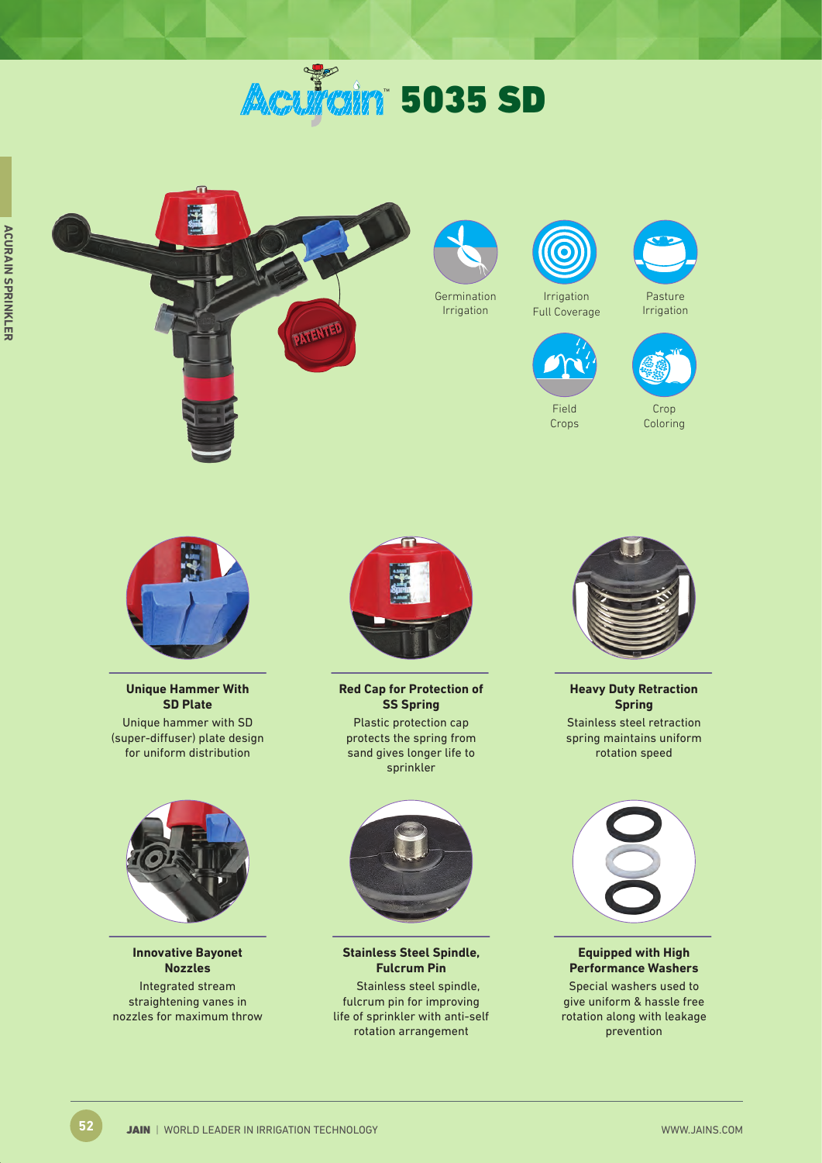# **Aculain 5035 SD**